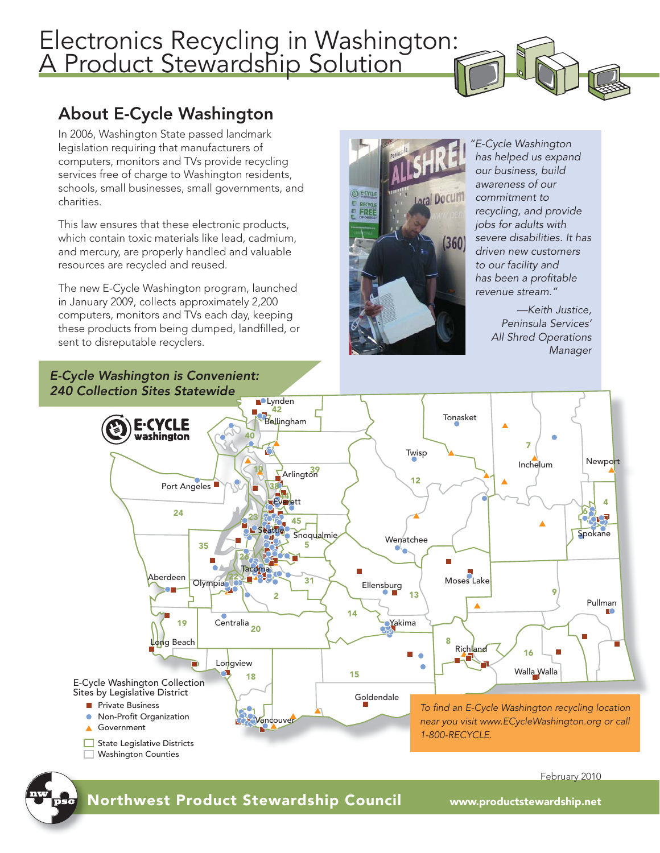## Electronics Recycling in Washington: A Product Stewardship Solution



## About E-Cycle Washington

In 2006, Washington State passed landmark legislation requiring that manufacturers of computers, monitors and TVs provide recycling services free of charge to Washington residents, schools, small businesses, small governments, and charities.

This law ensures that these electronic products, which contain toxic materials like lead, cadmium, and mercury, are properly handled and valuable resources are recycled and reused.

The new E-Cycle Washington program, launched in January 2009, collects approximately 2,200 computers, monitors and TVs each day, keeping these products from being dumped, landfilled, or sent to disreputable recyclers.

*E-Cycle Washington is Convenient:* 



*"E-Cycle Washington has helped us expand our business, build awareness of our commitment to recycling, and provide jobs for adults with severe disabilities. It has driven new customers to our facility and has been a profi table revenue stream."*

> *—Keith Justice, Peninsula Services' All Shred Operations Manager*





Northwest Product Stewardship Council www.productstewardship.net N